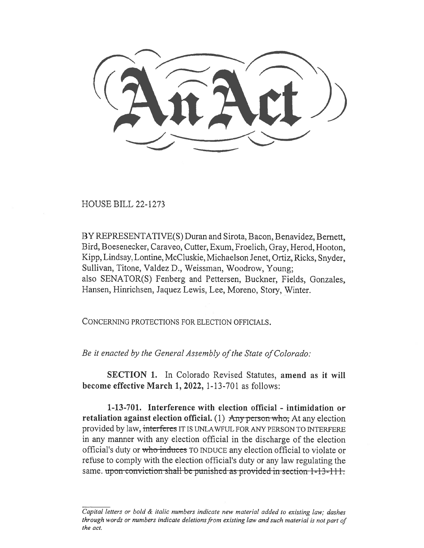HOUSE BILL 22-1273

BY REPRESENTATIVE(S) Duran and Sirota, Bacon, Benavidez, Bernett, Bird, Boesenecker, Caraveo, Cutter, Exum, Froelich, Gray, Herod, Hooton, Kipp, Lindsay, Lontine, McCluskie, Michaelson Jenet, Ortiz, Ricks, Snyder, Sullivan, Titone, Valdez D., Weissman, Woodrow, Young; also SENATOR(S) Fenberg and Pettersen, Buckner, Fields, Gonzales, Hansen, Hinrichsen, Jaquez Lewis, Lee, Moreno, Story, Winter.

CONCERNING PROTECTIONS FOR ELECTION OFFICIALS.

Be it enacted by the General Assembly of the State of Colorado:

SECTION 1. In Colorado Revised Statutes, amend as it will become effective March 1, 2022, 1-13-701 as follows:

1-13-701. Interference with election official - intimidation or retaliation against election official.  $(1)$  Any person who; At any election provided by law, interferes IT IS UNLAWFUL FOR ANY PERSON TO INTERFERE in any manner with any election official in the discharge of the election official's duty or who induces TO INDUCE any election official to violate or refuse to comply with the election official's duty or any law regulating the same. upon conviction shall be punished as provided in section  $1-13-111$ .

Capital letters or bold & italic numbers indicate new material added to existing law; dashes through words or numbers indicate deletions from existing law and such material is not part of the act.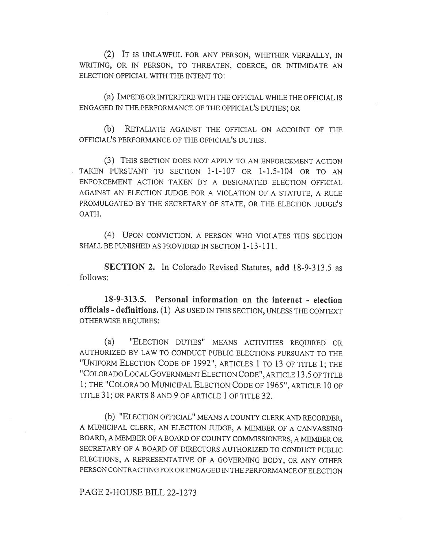(2) IT IS UNLAWFUL FOR ANY PERSON, WHETHER VERBALLY, IN WRITING, OR IN PERSON, TO THREATEN, COERCE, OR INTIMIDATE AN ELECTION OFFICIAL WITH THE INTENT TO:

(a) IMPEDE OR INTERFERE WITH THE OFFICIAL WHILE THE OFFICIAL IS ENGAGED IN THE PERFORMANCE OF THE OFFICIAL'S DUTIES; OR

(b) RETALIATE AGAINST THE OFFICIAL ON ACCOUNT OF THE OFFICIAL'S PERFORMANCE OF THE OFFICIAL'S DUTIES.

(3) THIS SECTION DOES NOT APPLY TO AN ENFORCEMENT ACTION TAKEN PURSUANT TO SECTION 1-1-107 OR 1-1.5-104 OR TO AN ENFORCEMENT ACTION TAKEN BY A DESIGNATED ELECTION OFFICIAL AGAINST AN ELECTION JUDGE FOR A VIOLATION OF A STATUTE, A RULE PROMULGATED BY THE SECRETARY OF STATE, OR THE ELECTION JUDGE'S OATH.

(4) UPON CONVICTION, A PERSON WHO VIOLATES THIS SECTION SHALL BE PUNISHED AS PROVIDED IN SECTION 1-13-111.

SECTION 2. In Colorado Revised Statutes, add 18-9-313.5 as follows:

18-9-313.5. Personal information on the internet - election officials - definitions. (1) AS USED IN THIS SECTION, UNLESS THE CONTEXT OTHERWISE REQUIRES:

(a) "ELECTION DUTIES" MEANS ACTIVITIES REQUIRED OR AUTHORIZED BY LAW TO CONDUCT PUBLIC ELECTIONS PURSUANT TO THE "UNIFORM ELECTION CODE OF 1992", ARTICLES 1 TO 13 OF TITLE 1; THE "COLORADO LOCAL GOVERNMENT ELECTION CODE", ARTICLE 13.5 OF TITLE 1; THE "COLORADO MUNICIPAL ELECTION CODE OF 1965", ARTICLE 10 OF TITLE 31; OR PARTS 8 AND 9 OF ARTICLE 1 OF TITLE 32.

(b) "ELECTION OFFICIAL" MEANS A COUNTY CLERK AND RECORDER, A MUNICIPAL CLERK, AN ELECTION JUDGE, A MEMBER OF A CANVASSING BOARD, A MEMBER OF A BOARD OF COUNTY COMMISSIONERS, A MEMBER OR SECRETARY OF A BOARD OF DIRECTORS AUTHORIZED TO CONDUCT PUBLIC ELECTIONS, A REPRESENTATIVE OF A GOVERNING BODY, OR ANY OTHER PERSON CONTRACTING FOR OR ENGAGED IN THE PERFORMANCE OF ELECTION

## PAGE 2-HOUSE BILL 22-1273

 $\overline{\phantom{a}}$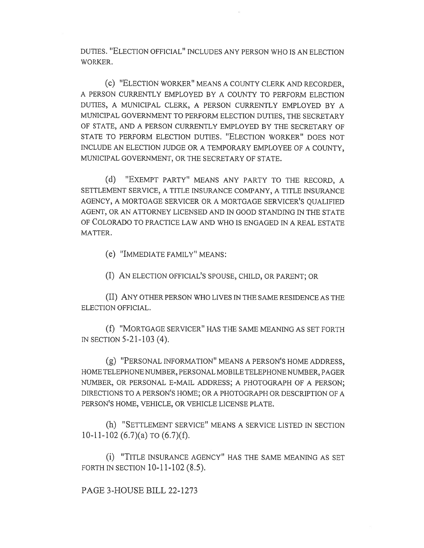DUTIES. "ELECTION OFFICIAL" INCLUDES ANY PERSON WHO IS AN ELECTION WORKER.

(c) "ELECTION WORKER" MEANS A COUNTY CLERK AND RECORDER, A PERSON CURRENTLY EMPLOYED BY A COUNTY TO PERFORM ELECTION DUTIES, A MUNICIPAL CLERK, A PERSON CURRENTLY EMPLOYED BY A MUNICIPAL GOVERNMENT TO PERFORM ELECTION DUTIES, THE SECRETARY OF STATE, AND A PERSON CURRENTLY EMPLOYED BY THE SECRETARY OF STATE TO PERFORM ELECTION DUTIES. "ELECTION WORKER" DOES NOT INCLUDE AN ELECTION JUDGE OR A TEMPORARY EMPLOYEE OF A COUNTY, MUNICIPAL GOVERNMENT, OR THE SECRETARY OF STATE.

(d) "EXEMPT PARTY" MEANS ANY PARTY TO THE RECORD, A SETTLEMENT SERVICE, A TITLE INSURANCE COMPANY, A TITLE INSURANCE AGENCY, A MORTGAGE SERVICER OR A MORTGAGE SERVICER'S QUALIFIED AGENT, OR AN ATTORNEY LICENSED AND IN GOOD STANDING IN THE STATE OF COLORADO TO PRACTICE LAW AND WHO IS ENGAGED IN A REAL ESTATE MATTER.

(e) "IMMEDIATE FAMILY" MEANS:

(I) AN ELECTION OFFICIAL'S SPOUSE, CHILD, OR PARENT; OR

(II) ANY OTHER PERSON W110 LIVES IN TIIE SAME RESIDENCE AS THE ELECTION OFFICIAL.

(f) "MORTGAGE SERVICER" HAS THE SAME MEANING AS SET FORTH IN SECTION 5-21-103 (4).

(g) "PERSONAL INFORMATION" MEANS A PERSON'S HOME ADDRESS, HOME TELEPHONE NUMBER, PERSONAL MOBILE TELEPHONE NUMBER, PAGER NUMBER, OR PERSONAL E-MAIL ADDRESS; A PHOTOGRAPH OF A PERSON; DIRECTIONS TO A PERSON'S HOME; OR A PHOTOGRAPH OR DESCRIPTION OF A PERSON'S HOME, VEHICLE, OR VEHICLE LICENSE PLATE.

(h) "SETTLEMENT SERVICE" MEANS A SERVICE LISTED IN SECTION 10-11-102 (6.7)(a) TO (6.7)(f).

(i) "TITLE INSURANCE AGENCY" HAS THE SAME MEANING AS SET FORTH IN SECTION 10-11-102 (8.5).

PAGE 3-HOUSE BILL 22-1273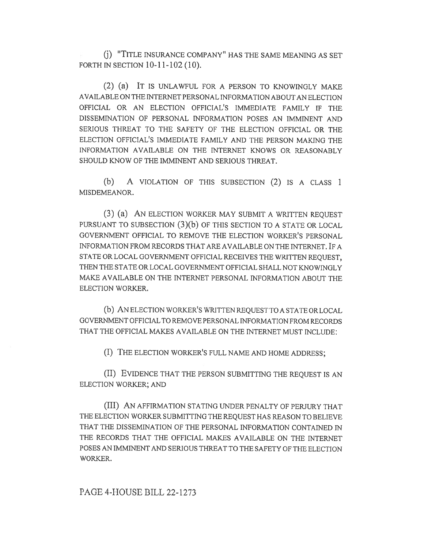(j) "TITLE INSURANCE COMPANY" HAS THE SAME MEANING AS SET FORTH IN SECTION 10-11-102 (10).

(2) (a) IT IS UNLAWFUL FOR A PERSON TO KNOWINGLY MAKE AVAILABLE ON THE INTERNET PERSONAL INFORMATION ABOUT AN ELECTION OFFICIAL OR AN ELECTION OFFICIAL'S IMMEDIATE FAMILY IF THE DISSEMINATION OF PERSONAL INFORMATION POSES AN IMMINENT AND SERIOUS THREAT TO THE SAFETY OF THE ELECTION OFFICIAL OR THE ELECTION OFFICIAL'S IMMEDIATE FAMILY AND THE PERSON MAKING THE INFORMATION AVAILABLE ON THE INTERNET KNOWS OR REASONABLY SHOULD KNOW OF THE IMMINENT AND SERIOUS THREAT.

(b) A VIOLATION OF THIS SUBSECTION (2) IS A CLASS 1 MISDEMEANOR.

(3) (a) AN ELECTION WORKER MAY SUBMIT A WRITTEN REQUEST PURSUANT TO SUBSECTION (3)(b) OF THIS SECTION TO A STATE OR LOCAL GOVERNMENT OFFICIAL TO REMOVE THE ELECTION WORKER'S PERSONAL INFORMATION FROM RECORDS THAT ARE AVAILABLE ON THE INTERNET. IF A STATE OR LOCAL GOVERNMENT OFFICIAL RECEIVES THE WRITTEN REQUEST, THEN THE STATE OR LOCAL GOVERNMENT OFFICIAL SHALL NOT KNOWINGLY MAKE AVAILABLE ON THE INTERNET PERSONAL INFORMATION ABOUT THE ELECTION WORKER.

(b) AN ELECTION WORKER'S WRITTEN REQUEST TO A STATE OR LOCAL GOVERNMENT OFFICIAL TO REMOVE PERSONAL INFORMATION FROM RECORDS THAT THE OFFICIAL MAKES AVAILABLE ON THE INTERNET MUST INCLUDE:

(I) THE ELECTION WORKER'S FULL NAME AND HOME ADDRESS;

(II) EVIDENCE THAT THE PERSON SUBMITTING THE REQUEST IS AN ELECTION WORKER; AND

(III) AN AFFIRMATION STATING UNDER PENALTY OF PERJURY THAT THE ELECTION WORKER SUBMITTING THE REQUEST HAS REASON TO BELIEVE THAT THE DISSEMINATION OF THE PERSONAL INFORMATION CONTAINED IN THE RECORDS THAT THE OFFICIAL MAKES AVAILABLE ON THE INTERNET POSES AN IMMINENT AND SERIOUS THREAT TO THE SAFETY OF THE ELECTION WORKER.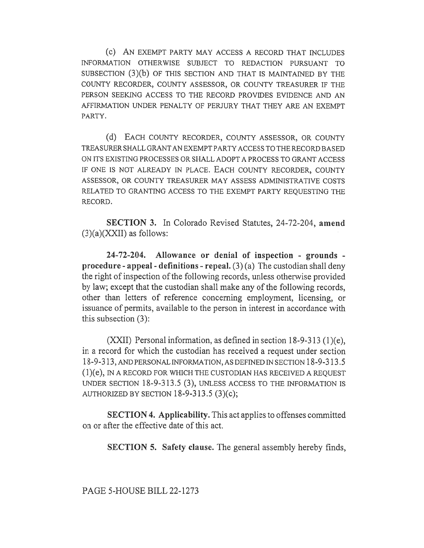(c) AN EXEMPT PARTY MAY ACCESS A RECORD THAT INCLUDES INFORMATION OTHERWISE SUBJECT TO REDACTION PURSUANT TO SUBSECTION (3)(b) OF THIS SECTION AND THAT IS MAINTAINED BY THE COUNTY RECORDER, COUNTY ASSESSOR, OR COUNTY TREASURER IF THE PERSON SEEKING ACCESS TO THE RECORD PROVIDES EVIDENCE AND AN AFFIRMATION UNDER PENALTY OF PERJURY THAT THEY ARE AN EXEMPT PARTY.

(d) EACH COUNTY RECORDER, COUNTY ASSESSOR, OR COUNTY TREASURER SHALL GRANT AN EXEMPT PARTY ACCESS TO THE RECORD BASED ON ITS EXISTING PROCESSES OR SHALL ADOPT A PROCESS TO GRANT ACCESS IF ONE IS NOT ALREADY IN PLACE. EACH COUNTY RECORDER, COUNTY ASSESSOR, OR COUNTY TREASURER MAY ASSESS ADMINISTRATIVE COSTS RELATED TO GRANTING ACCESS TO THE EXEMPT PARTY REQUESTING THE RECORD.

SECTION 3. In Colorado Revised Statutes, 24-72-204, amend  $(3)(a)(XXII)$  as follows:

24-72-204. Allowance or denial of inspection - grounds procedure - appeal - definitions - repeal.  $(3)(a)$  The custodian shall deny the right of inspection of the following records, unless otherwise provided by law; except that the custodian shall make any of the following records, other than letters of reference concerning employment, licensing, or issuance of permits, available to the person in interest in accordance with this subsection (3):

(XXII) Personal information, as defined in section  $18-9-313$  (1)(e), in a record for which the custodian has received a request under section 18-9-313, AND PERSONAL INFORMATION, AS DEFINED IN SECTION 18-9-313.5 (1)(e), IN A RECORD FOR WHICH THE CUSTODIAN HAS RECEIVED A REQUEST UNDER SECTION 18-9-313.5 (3), UNLESS ACCESS TO THE INFORMATION IS AUTHORIZED BY SECTION  $18-9-313.5$  (3)(c);

SECTION 4. Applicability. This act applies to offenses committed on or after the effective date of this act.

SECTION 5. Safety clause. The general assembly hereby finds,

PAGE 5-HOUSE BILL 22-1273